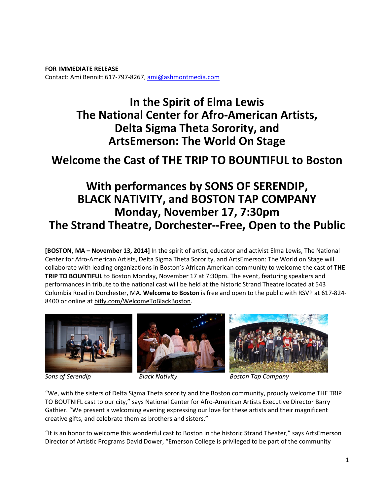**FOR IMMEDIATE RELEASE**  Contact: Ami Bennitt 617‐797‐8267, ami@ashmontmedia.com

# **In the Spirit of Elma Lewis The National Center for Afro-American Artists, Delta Sigma Theta Sorority, and ArtsEmerson: The World On Stage**

# **Welcome the Cast of THE TRIP TO BOUNTIFUL to Boston**

# **With performances by SONS OF SERENDIP, BLACK NATIVITY, and BOSTON TAP COMPANY Monday, November 17, 7:30pm The Strand Theatre, Dorchester--Free, Open to the Public**

**[BOSTON, MA – November 13, 2014]** In the spirit of artist, educator and activist Elma Lewis, The National Center for Afro‐American Artists, Delta Sigma Theta Sorority, and ArtsEmerson: The World on Stage will collaborate with leading organizations in Boston's African American community to welcome the cast of **THE TRIP TO BOUNTIFUL** to Boston Monday, November 17 at 7:30pm. The event, featuring speakers and performances in tribute to the national cast will be held at the historic Strand Theatre located at 543 Columbia Road in Dorchester, MA. **Welcome to Boston** is free and open to the public with RSVP at 617‐824‐ 8400 or online at bitly.com/WelcomeToBlackBoston.







*Sons of Serendip Black Nativity Boston Tap Company*

"We, with the sisters of Delta Sigma Theta sorority and the Boston community, proudly welcome THE TRIP TO BOUTNIFL cast to our city," says National Center for Afro‐American Artists Executive Director Barry Gathier. "We present a welcoming evening expressing our love for these artists and their magnificent creative gifts, and celebrate them as brothers and sisters."

"It is an honor to welcome this wonderful cast to Boston in the historic Strand Theater," says ArtsEmerson Director of Artistic Programs David Dower, "Emerson College is privileged to be part of the community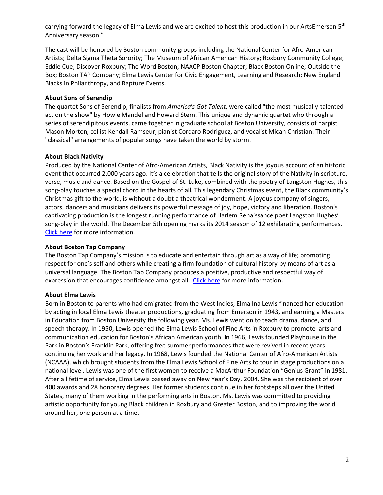carrying forward the legacy of Elma Lewis and we are excited to host this production in our ArtsEmerson 5<sup>th</sup> Anniversary season."

The cast will be honored by Boston community groups including the National Center for Afro‐American Artists; Delta Sigma Theta Sorority; The Museum of African American History; Roxbury Community College; Eddie Cue; Discover Roxbury; The Word Boston; NAACP Boston Chapter; Black Boston Online; Outside the Box; Boston TAP Company; Elma Lewis Center for Civic Engagement, Learning and Research; New England Blacks in Philanthropy, and Rapture Events.

## **About Sons of Serendip**

The quartet Sons of Serendip, finalists from *America's Got Talent*, were called "the most musically‐talented act on the show" by Howie Mandel and Howard Stern. This unique and dynamic quartet who through a series of serendipitous events, came together in graduate school at Boston University, consists of harpist Mason Morton, cellist Kendall Ramseur, pianist Cordaro Rodriguez, and vocalist Micah Christian. Their "classical" arrangements of popular songs have taken the world by storm.

## **About Black Nativity**

Produced by the National Center of Afro‐American Artists, Black Nativity is the joyous account of an historic event that occurred 2,000 years ago. It's a celebration that tells the original story of the Nativity in scripture, verse, music and dance. Based on the Gospel of St. Luke, combined with the poetry of Langston Hughes, this song-play touches a special chord in the hearts of all. This legendary Christmas event, the Black community's Christmas gift to the world, is without a doubt a theatrical wonderment. A joyous company of singers, actors, dancers and musicians delivers its powerful message of joy, hope, victory and liberation. Boston's captivating production is the longest running performance of Harlem Renaissance poet Langston Hughes' song-play in the world. The December 5th opening marks its 2014 season of 12 exhilarating performances. Click here for more information.

## **About Boston Tap Company**

The Boston Tap Company's mission is to educate and entertain through art as a way of life; promoting respect for one's self and others while creating a firm foundation of cultural history by means of art as a universal language. The Boston Tap Company produces a positive, productive and respectful way of expression that encourages confidence amongst all. Click here for more information.

## **About Elma Lewis**

Born in Boston to parents who had emigrated from the West Indies, Elma Ina Lewis financed her education by acting in local Elma Lewis theater productions, graduating from Emerson in 1943, and earning a Masters in Education from Boston University the following year. Ms. Lewis went on to teach drama, dance, and speech therapy. In 1950, Lewis opened the Elma Lewis School of Fine Arts in Roxbury to promote arts and communication education for Boston's African American youth. In 1966, Lewis founded Playhouse in the Park in Boston's Franklin Park, offering free summer performances that were revived in recent years continuing her work and her legacy. In 1968, Lewis founded the National Center of Afro‐American Artists (NCAAA), which brought students from the Elma Lewis School of Fine Arts to tour in stage productions on a national level. Lewis was one of the first women to receive a MacArthur Foundation "Genius Grant" in 1981. After a lifetime of service, Elma Lewis passed away on New Year's Day, 2004. She was the recipient of over 400 awards and 28 honorary degrees. Her former students continue in her footsteps all over the United States, many of them working in the performing arts in Boston. Ms. Lewis was committed to providing artistic opportunity for young Black children in Roxbury and Greater Boston, and to improving the world around her, one person at a time.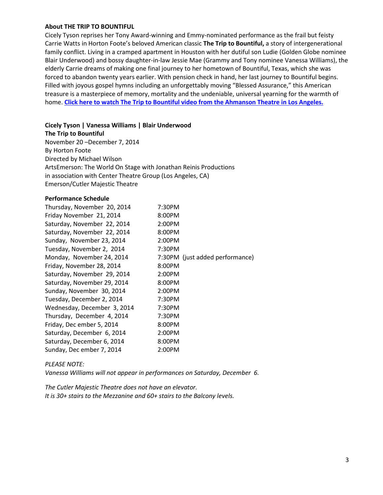#### **About THE TRIP TO BOUNTIFUL**

Cicely Tyson reprises her Tony Award‐winning and Emmy‐nominated performance as the frail but feisty Carrie Watts in Horton Foote's beloved American classic **The Trip to Bountiful,** a story of intergenerational family conflict. Living in a cramped apartment in Houston with her dutiful son Ludie (Golden Globe nominee Blair Underwood) and bossy daughter‐in‐law Jessie Mae (Grammy and Tony nominee Vanessa Williams), the elderly Carrie dreams of making one final journey to her hometown of Bountiful, Texas, which she was forced to abandon twenty years earlier. With pension check in hand, her last journey to Bountiful begins. Filled with joyous gospel hymns including an unforgettably moving "Blessed Assurance," this American treasure is a masterpiece of memory, mortality and the undeniable, universal yearning for the warmth of home. **Click here to watch The Trip to Bountiful video from the Ahmanson Theatre in Los Angeles.**

#### **Cicely Tyson | Vanessa Williams | Blair Underwood**

**The Trip to Bountiful**  November 20 –December 7, 2014 By Horton Foote Directed by Michael Wilson ArtsEmerson: The World On Stage with Jonathan Reinis Productions in association with Center Theatre Group (Los Angeles, CA) Emerson/Cutler Majestic Theatre

#### **Performance Schedule**

| Thursday, November 20, 2014 | 7:30PM                          |
|-----------------------------|---------------------------------|
| Friday November 21, 2014    | 8:00PM                          |
| Saturday, November 22, 2014 | 2:00PM                          |
| Saturday, November 22, 2014 | 8:00PM                          |
| Sunday, November 23, 2014   | 2:00PM                          |
| Tuesday, November 2, 2014   | 7:30PM                          |
| Monday, November 24, 2014   | 7:30PM (just added performance) |
| Friday, November 28, 2014   | 8:00PM                          |
| Saturday, November 29, 2014 | 2:00PM                          |
| Saturday, November 29, 2014 | 8:00PM                          |
| Sunday, November 30, 2014   | 2:00PM                          |
| Tuesday, December 2, 2014   | 7:30PM                          |
| Wednesday, December 3, 2014 | 7:30PM                          |
| Thursday, December 4, 2014  | 7:30PM                          |
| Friday, Dec ember 5, 2014   | 8:00PM                          |
| Saturday, December 6, 2014  | 2:00PM                          |
| Saturday, December 6, 2014  | 8:00PM                          |
| Sunday, Dec ember 7, 2014   | 2:00PM                          |

#### *PLEASE NOTE:*

*Vanessa Williams will not appear in performances on Saturday, December 6.* 

*The Cutler Majestic Theatre does not have an elevator. It is 30+ stairs to the Mezzanine and 60+ stairs to the Balcony levels.*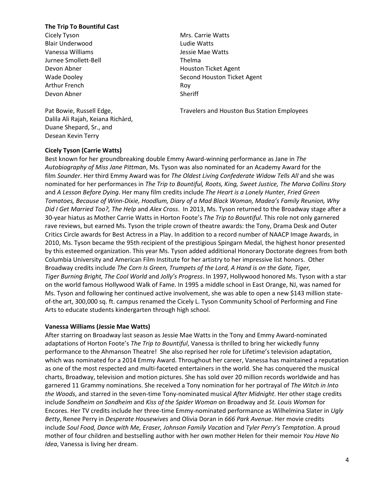#### **The Trip To Bountiful Cast**

Cicely Tyson **Mrs. Carrie Watts** Blair Underwood **Ludie Watts** Vanessa Williams Jessie Mae Watts Jurnee Smollett-Bell Thelma Arthur French Roy Devon Abner Sheriff

Dalila Ali Rajah, Keiana Richàrd, Duane Shepard, Sr., and Desean Kevin Terry

Devon Abner Noussealth Houston Ticket Agent Wade Dooley **Second Houston Ticket Agent** Second Houston Ticket Agent

Pat Bowie, Russell Edge, The Matter of Travelers and Houston Bus Station Employees

## **Cicely Tyson (Carrie Watts)**

Best known for her groundbreaking double Emmy Award‐winning performance as Jane in *The Autobiography of Miss Jane Pittman*, Ms. Tyson was also nominated for an Academy Award for the film *Sounder*. Her third Emmy Award was for *The Oldest Living Confederate Widow Tells All* and she was nominated for her performances in *The Trip to Bountiful, Roots, King, Sweet Justice, The Marva Collins Story*  and *A Lesson Before Dying*. Her many film credits include *The Heart is a Lonely Hunter, Fried Green Tomatoes, Because of Winn-Dixie, Hoodlum, Diary of a Mad Black Woman, Madea's Family Reunion, Why Did I Get Married Too?, The Help* and *Alex Cross*. In 2013, Ms. Tyson returned to the Broadway stage after a 30‐year hiatus as Mother Carrie Watts in Horton Foote's *The Trip to Bountiful*. This role not only garnered rave reviews, but earned Ms. Tyson the triple crown of theatre awards: the Tony, Drama Desk and Outer Critics Circle awards for Best Actress in a Play. In addition to a record number of NAACP Image Awards, in 2010, Ms. Tyson became the 95th recipient of the prestigious Spingarn Medal, the highest honor presented by this esteemed organization. This year Ms. Tyson added additional Honorary Doctorate degrees from both Columbia University and American Film Institute for her artistry to her impressive list honors. Other Broadway credits include *The Corn Is Green, Trumpets of the Lord, A Hand is on the Gate, Tiger, Tiger Burning Bright, The Cool World* and *Jolly's Progress*. In 1997, Hollywood honored Ms. Tyson with a star on the world famous Hollywood Walk of Fame. In 1995 a middle school in East Orange, NJ, was named for Ms. Tyson and following her continued active involvement, she was able to open a new \$143 million state‐ of-the art, 300,000 sq. ft. campus renamed the Cicely L. Tyson Community School of Performing and Fine Arts to educate students kindergarten through high school.

#### **Vanessa Williams (Jessie Mae Watts)**

After starring on Broadway last season as Jessie Mae Watts in the Tony and Emmy Award‐nominated adaptations of Horton Foote's *The Trip to Bountiful*, Vanessa is thrilled to bring her wickedly funny performance to the Ahmanson Theatre! She also reprised her role for Lifetime's television adaptation, which was nominated for a 2014 Emmy Award. Throughout her career, Vanessa has maintained a reputation as one of the most respected and multi‐faceted entertainers in the world. She has conquered the musical charts, Broadway, television and motion pictures. She has sold over 20 million records worldwide and has garnered 11 Grammy nominations. She received a Tony nomination for her portrayal of *The Witch in Into the Woods*, and starred in the seven‐time Tony‐nominated musical *After Midnight*. Her other stage credits include *Sondheim on Sondheim* and *Kiss of the Spider Woman* on Broadway and *St. Louis Woman* for Encores. Her TV credits include her three‐time Emmy‐nominated performance as Wilhelmina Slater in *Ugly Betty*, Renee Perry in *Desperate Housewives* and Olivia Doran in *666 Park Avenue*. Her movie credits include *Soul Food, Dance with Me, Eraser, Johnson Family Vacation* and *Tyler Perry's Temptation*. A proud mother of four children and bestselling author with her own mother Helen for their memoir *You Have No Idea*, Vanessa is living her dream.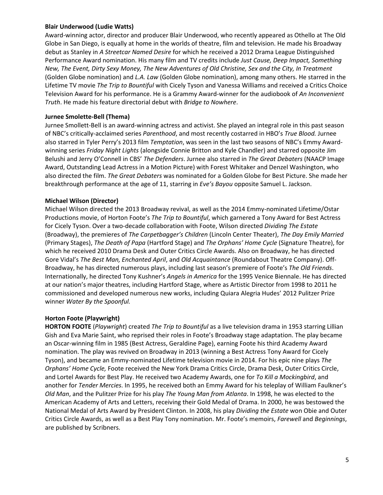## **Blair Underwood (Ludie Watts)**

Award‐winning actor, director and producer Blair Underwood, who recently appeared as Othello at The Old Globe in San Diego, is equally at home in the worlds of theatre, film and television. He made his Broadway debut as Stanley in *A Streetcar Named Desire* for which he received a 2012 Drama League Distinguished Performance Award nomination. His many film and TV credits include *Just Cause, Deep Impact, Something New, The Event, Dirty Sexy Money, The New Adventures of Old Christine, Sex and the City, In Treatment*  (Golden Globe nomination) and *L.A. Law* (Golden Globe nomination), among many others. He starred in the Lifetime TV movie *The Trip to Bountiful* with Cicely Tyson and Vanessa Williams and received a Critics Choice Television Award for his performance. He is a Grammy Award‐winner for the audiobook of *An Inconvenient Truth*. He made his feature directorial debut with *Bridge to Nowhere*.

# **Jurnee Smolette-Bell (Thema)**

Jurnee Smollett‐Bell is an award‐winning actress and activist. She played an integral role in this past season of NBC's critically‐acclaimed series *Parenthood*, and most recently costarred in HBO's *True Blood.* Jurnee also starred in Tyler Perry's 2013 film *Temptation*, was seen in the last two seasons of NBC's Emmy Award‐ winning series *Friday Night Lights* (alongside Connie Britton and Kyle Chandler) and starred opposite Jim Belushi and Jerry O'Connell in CBS' *The Defenders*. Jurnee also starred in *The Great Debaters* (NAACP Image Award, Outstanding Lead Actress in a Motion Picture) with Forest Whitaker and Denzel Washington, who also directed the film. *The Great Debaters* was nominated for a Golden Globe for Best Picture. She made her breakthrough performance at the age of 11, starring in *Eve's Bayou* opposite Samuel L. Jackson.

# **Michael Wilson (Director)**

Michael Wilson directed the 2013 Broadway revival, as well as the 2014 Emmy‐nominated Lifetime/Ostar Productions movie, of Horton Foote's *The Trip to Bountiful*, which garnered a Tony Award for Best Actress for Cicely Tyson. Over a two‐decade collaboration with Foote, Wilson directed *Dividing The Estate*  (Broadway), the premieres of *The Carpetbagger's Children* (Lincoln Center Theater), *The Day Emily Married*  (Primary Stages), *The Death of Papa* (Hartford Stage) and *The Orphans' Home Cycle* (Signature Theatre), for which he received 2010 Drama Desk and Outer Critics Circle Awards. Also on Broadway, he has directed Gore Vidal's *The Best Man, Enchanted April*, and *Old Acquaintance* (Roundabout Theatre Company). Off‐ Broadway, he has directed numerous plays, including last season's premiere of Foote's *The Old Friends*. Internationally, he directed Tony Kushner's *Angels in America* for the 1995 Venice Biennale. He has directed at our nation's major theatres, including Hartford Stage, where as Artistic Director from 1998 to 2011 he commissioned and developed numerous new works, including Quiara Alegria Hudes' 2012 Pulitzer Prize winner *Water By the Spoonful.*

# **Horton Foote (Playwright)**

**HORTON FOOTE** (*Playwright*) created *The Trip to Bountiful* as a live television drama in 1953 starring Lillian Gish and Eva Marie Saint, who reprised their roles in Foote's Broadway stage adaptation. The play became an Oscar‐winning film in 1985 (Best Actress, Geraldine Page), earning Foote his third Academy Award nomination. The play was revived on Broadway in 2013 (winning a Best Actress Tony Award for Cicely Tyson), and became an Emmy‐nominated Lifetime television movie in 2014. For his epic nine plays *The Orphans' Home Cycle,* Foote received the New York Drama Critics Circle, Drama Desk, Outer Critics Circle, and Lortel Awards for Best Play. He received two Academy Awards, one for *To Kill a Mockingbird*, and another for *Tender Mercies*. In 1995, he received both an Emmy Award for his teleplay of William Faulkner's *Old Man*, and the Pulitzer Prize for his play *The Young Man from Atlanta*. In 1998, he was elected to the American Academy of Arts and Letters, receiving their Gold Medal of Drama. In 2000, he was bestowed the National Medal of Arts Award by President Clinton. In 2008, his play *Dividing the Estate* won Obie and Outer Critics Circle Awards, as well as a Best Play Tony nomination. Mr. Foote's memoirs, *Farewell* and *Beginnings*, are published by Scribners.